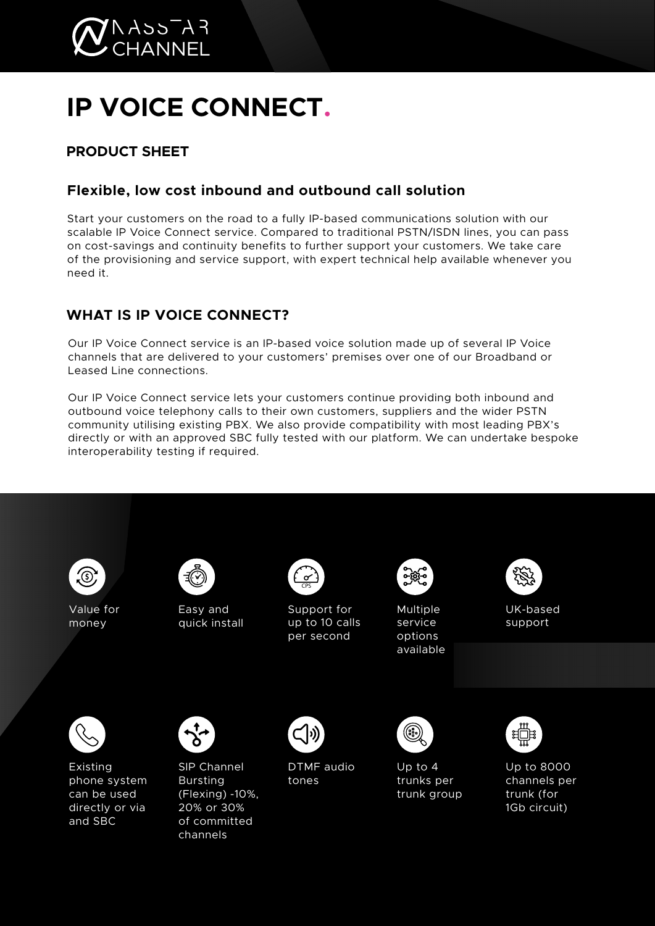

# **IP VOICE CONNECT.**

# **PRODUCT SHEET**

## **Flexible, low cost inbound and outbound call solution**

Start your customers on the road to a fully IP-based communications solution with our scalable IP Voice Connect service. Compared to traditional PSTN/ISDN lines, you can pass on cost-savings and continuity benefits to further support your customers. We take care of the provisioning and service support, with expert technical help available whenever you need it.

## **WHAT IS IP VOICE CONNECT?**

Our IP Voice Connect service is an IP-based voice solution made up of several IP Voice channels that are delivered to your customers' premises over one of our Broadband or Leased Line connections.

Our IP Voice Connect service lets your customers continue providing both inbound and outbound voice telephony calls to their own customers, suppliers and the wider PSTN community utilising existing PBX. We also provide compatibility with most leading PBX's directly or with an approved SBC fully tested with our platform. We can undertake bespoke interoperability testing if required.

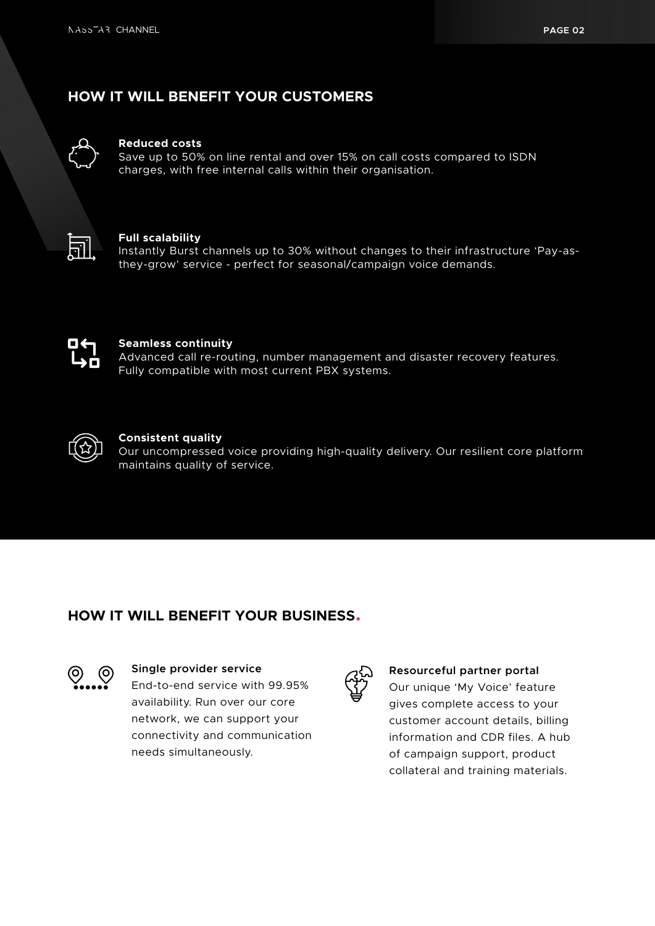## **HOW IT WILL BENEFIT YOUR CUSTOMERS**



#### **Reduced costs**

Save up to 50% on line rental and over 15% on call costs compared to ISDN charges, with free internal calls within their organisation.



#### **Full scalability**

Instantly Burst channels up to 30% without changes to their infrastructure 'Pay-asthey-grow' service - perfect for seasonal/campaign voice demands.



#### **Seamless continuity**

Advanced call re-routing, number management and disaster recovery features. Fully compatible with most current PBX systems.



#### **Consistent quality**

Our uncompressed voice providing high-quality delivery. Our resilient core platform maintains quality of service.

## **HOW IT WILL BENEFIT YOUR BUSINESS.**



#### **Single provider service**

End-to-end service with 99.95% availability. Run over our core network, we can support your connectivity and communication needs simultaneously.



#### **Resourceful partner portal**

Our unique 'My Voice' feature gives complete access to your customer account details, billing information and CDR files. A hub of campaign support, product collateral and training materials.